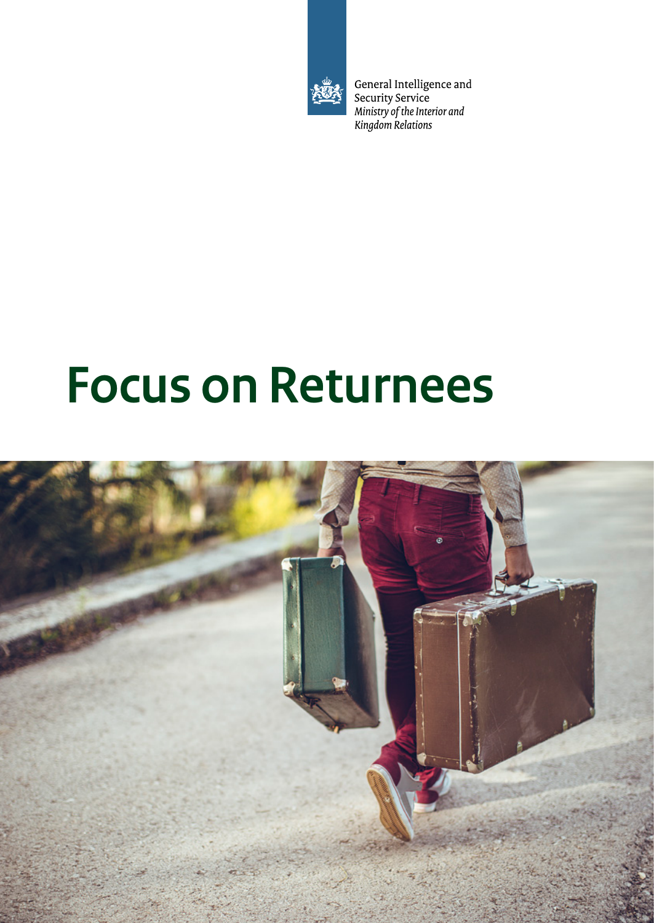

General Intelligence and<br>Security Service<br>Ministry of the Interior and<br>Kingdom Relations

# **Focus on Returnees**

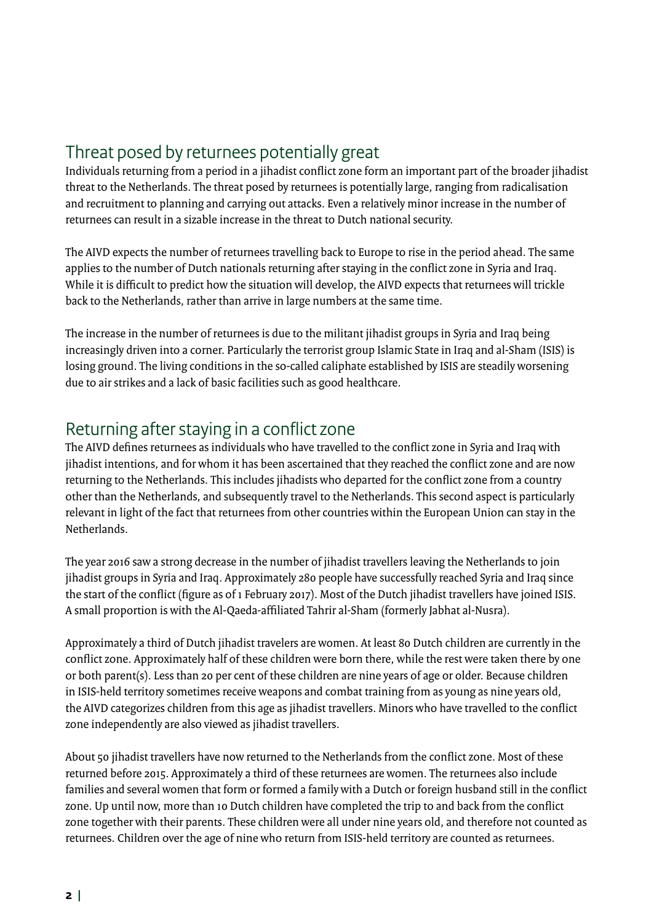# Threat posed by returnees potentially great

Individuals returning from a period in a jihadist conflict zone form an important part of the broader jihadist threat to the Netherlands. The threat posed by returnees is potentially large, ranging from radicalisation and recruitment to planning and carrying out attacks. Even a relatively minor increase in the number of returnees can result in a sizable increase in the threat to Dutch national security.

The AIVD expects the number of returnees travelling back to Europe to rise in the period ahead. The same applies to the number of Dutch nationals returning after staying in the conflict zone in Syria and Iraq. While it is difficult to predict how the situation will develop, the AIVD expects that returnees will trickle back to the Netherlands, rather than arrive in large numbers at the same time.

The increase in the number of returnees is due to the militant jihadist groups in Syria and Iraq being increasingly driven into a corner. Particularly the terrorist group Islamic State in Iraq and al-Sham (ISIS) is losing ground. The living conditions in the so-called caliphate established by ISIS are steadily worsening due to air strikes and a lack of basic facilities such as good healthcare.

#### Returning after staying in a conflict zone

The AIVD defines returnees as individuals who have travelled to the conflict zone in Syria and Iraq with jihadist intentions, and for whom it has been ascertained that they reached the conflict zone and are now returning to the Netherlands. This includes jihadists who departed for the conflict zone from a country other than the Netherlands, and subsequently travel to the Netherlands. This second aspect is particularly relevant in light of the fact that returnees from other countries within the European Union can stay in the Netherlands.

The year 2016 saw a strong decrease in the number of jihadist travellers leaving the Netherlands to join jihadist groups in Syria and Iraq. Approximately 280 people have successfully reached Syria and Iraq since the start of the conflict (figure as of 1 February 2017). Most of the Dutch jihadist travellers have joined ISIS. A small proportion is with the Al-Qaeda-affiliated Tahrir al-Sham (formerly Jabhat al-Nusra).

Approximately a third of Dutch jihadist travelers are women. At least 80 Dutch children are currently in the conflict zone. Approximately half of these children were born there, while the rest were taken there by one or both parent(s). Less than 20 per cent of these children are nine years of age or older. Because children in ISIS-held territory sometimes receive weapons and combat training from as young as nine years old, the AIVD categorizes children from this age as jihadist travellers. Minors who have travelled to the conflict zone independently are also viewed as jihadist travellers.

About 50 jihadist travellers have now returned to the Netherlands from the conflict zone. Most of these returned before 2015. Approximately a third of these returnees are women. The returnees also include families and several women that form or formed a family with a Dutch or foreign husband still in the conflict zone. Up until now, more than 10 Dutch children have completed the trip to and back from the conflict zone together with their parents. These children were all under nine years old, and therefore not counted as returnees. Children over the age of nine who return from ISIS-held territory are counted as returnees.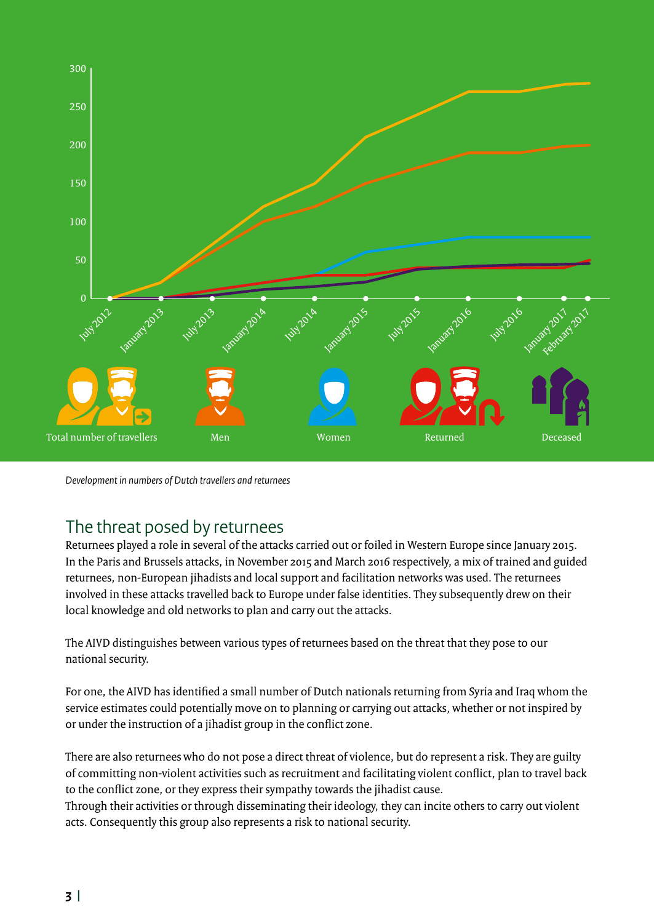

*Development in numbers of Dutch travellers and returnees*

## The threat posed by returnees

Returnees played a role in several of the attacks carried out or foiled in Western Europe since January 2015. In the Paris and Brussels attacks, in November 2015 and March 2016 respectively, a mix of trained and guided returnees, non-European jihadists and local support and facilitation networks was used. The returnees involved in these attacks travelled back to Europe under false identities. They subsequently drew on their local knowledge and old networks to plan and carry out the attacks.

The AIVD distinguishes between various types of returnees based on the threat that they pose to our national security.

For one, the AIVD has identified a small number of Dutch nationals returning from Syria and Iraq whom the service estimates could potentially move on to planning or carrying out attacks, whether or not inspired by or under the instruction of a jihadist group in the conflict zone.

There are also returnees who do not pose a direct threat of violence, but do represent a risk. They are guilty of committing non-violent activities such as recruitment and facilitating violent conflict, plan to travel back to the conflict zone, or they express their sympathy towards the jihadist cause.

Through their activities or through disseminating their ideology, they can incite others to carry out violent acts. Consequently this group also represents a risk to national security.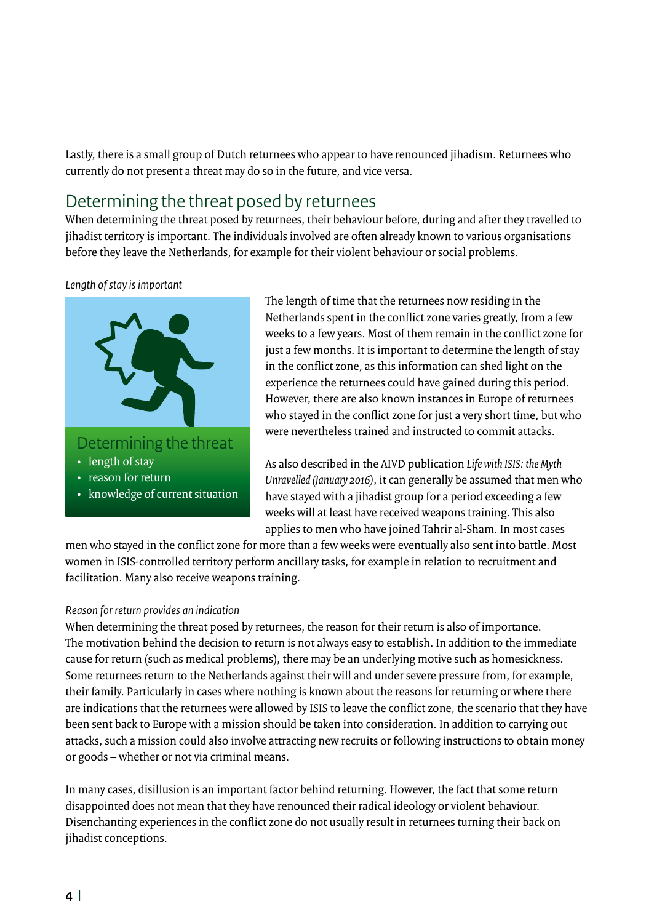Lastly, there is a small group of Dutch returnees who appear to have renounced jihadism. Returnees who currently do not present a threat may do so in the future, and vice versa.

# Determining the threat posed by returnees

When determining the threat posed by returnees, their behaviour before, during and after they travelled to jihadist territory is important. The individuals involved are often already known to various organisations before they leave the Netherlands, for example for their violent behaviour or social problems.

#### *Length of stay is important*



The length of time that the returnees now residing in the Netherlands spent in the conflict zone varies greatly, from a few weeks to a few years. Most of them remain in the conflict zone for just a few months. It is important to determine the length of stay in the conflict zone, as this information can shed light on the experience the returnees could have gained during this period. However, there are also known instances in Europe of returnees who stayed in the conflict zone for just a very short time, but who were nevertheless trained and instructed to commit attacks.

As also described in the AIVD publication *Life with ISIS: the Myth Unravelled (January 2016)*, it can generally be assumed that men who have stayed with a jihadist group for a period exceeding a few weeks will at least have received weapons training. This also applies to men who have joined Tahrir al-Sham. In most cases

men who stayed in the conflict zone for more than a few weeks were eventually also sent into battle. Most women in ISIS-controlled territory perform ancillary tasks, for example in relation to recruitment and facilitation. Many also receive weapons training.

#### *Reason for return provides an indication*

When determining the threat posed by returnees, the reason for their return is also of importance. The motivation behind the decision to return is not always easy to establish. In addition to the immediate cause for return (such as medical problems), there may be an underlying motive such as homesickness. Some returnees return to the Netherlands against their will and under severe pressure from, for example, their family. Particularly in cases where nothing is known about the reasons for returning or where there are indications that the returnees were allowed by ISIS to leave the conflict zone, the scenario that they have been sent back to Europe with a mission should be taken into consideration. In addition to carrying out attacks, such a mission could also involve attracting new recruits or following instructions to obtain money or goods – whether or not via criminal means.

In many cases, disillusion is an important factor behind returning. However, the fact that some return disappointed does not mean that they have renounced their radical ideology or violent behaviour. Disenchanting experiences in the conflict zone do not usually result in returnees turning their back on jihadist conceptions.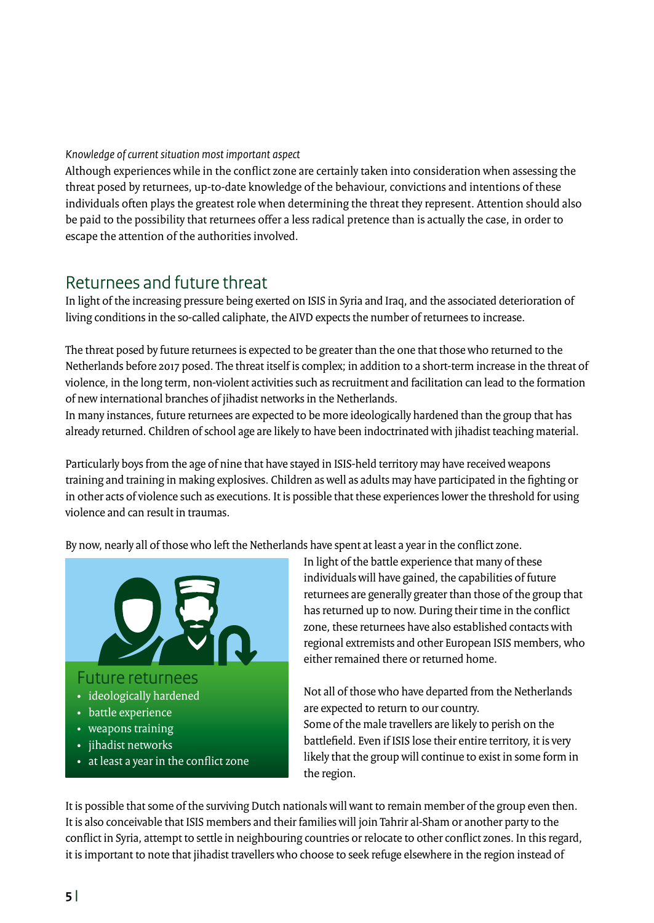*Knowledge of current situation most important aspect*

Although experiences while in the conflict zone are certainly taken into consideration when assessing the threat posed by returnees, up-to-date knowledge of the behaviour, convictions and intentions of these individuals often plays the greatest role when determining the threat they represent. Attention should also be paid to the possibility that returnees offer a less radical pretence than is actually the case, in order to escape the attention of the authorities involved.

#### Returnees and future threat

In light of the increasing pressure being exerted on ISIS in Syria and Iraq, and the associated deterioration of living conditions in the so-called caliphate, the AIVD expects the number of returnees to increase.

The threat posed by future returnees is expected to be greater than the one that those who returned to the Netherlands before 2017 posed. The threat itself is complex; in addition to a short-term increase in the threat of violence, in the long term, non-violent activities such as recruitment and facilitation can lead to the formation of new international branches of jihadist networks in the Netherlands.

In many instances, future returnees are expected to be more ideologically hardened than the group that has already returned. Children of school age are likely to have been indoctrinated with jihadist teaching material.

Particularly boys from the age of nine that have stayed in ISIS-held territory may have received weapons training and training in making explosives. Children as well as adults may have participated in the fighting or in other acts of violence such as executions. It is possible that these experiences lower the threshold for using violence and can result in traumas.

By now, nearly all of those who left the Netherlands have spent at least a year in the conflict zone.



In light of the battle experience that many of these individuals will have gained, the capabilities of future returnees are generally greater than those of the group that has returned up to now. During their time in the conflict zone, these returnees have also established contacts with regional extremists and other European ISIS members, who either remained there or returned home.

Not all of those who have departed from the Netherlands are expected to return to our country. Some of the male travellers are likely to perish on the battlefield. Even if ISIS lose their entire territory, it is very likely that the group will continue to exist in some form in the region.

It is possible that some of the surviving Dutch nationals will want to remain member of the group even then. It is also conceivable that ISIS members and their families will join Tahrir al-Sham or another party to the conflict in Syria, attempt to settle in neighbouring countries or relocate to other conflict zones. In this regard, it is important to note that jihadist travellers who choose to seek refuge elsewhere in the region instead of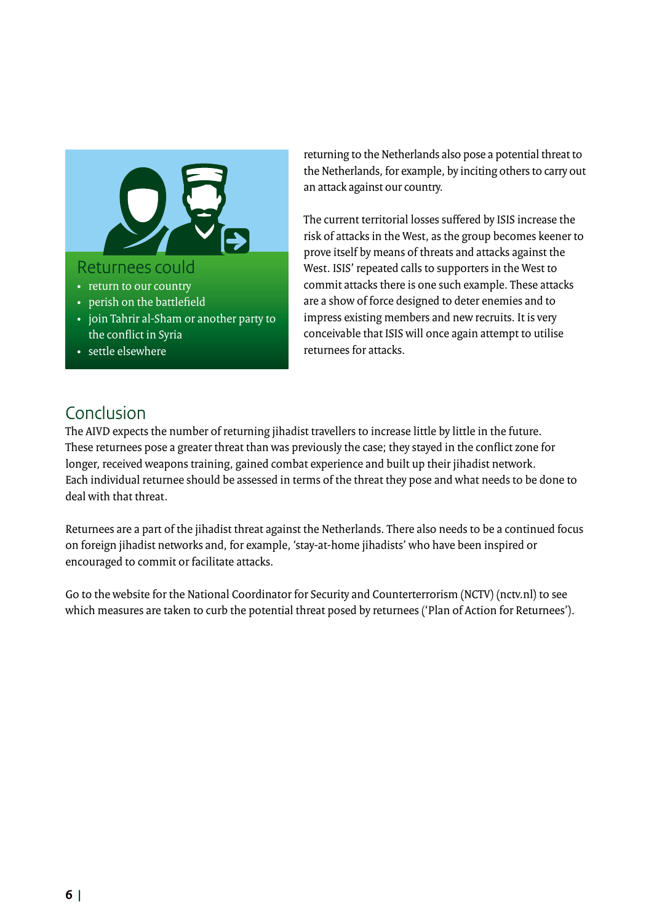

- perish on the battlefield
- join Tahrir al-Sham or another party to the conflict in Syria
- settle elsewhere

returning to the Netherlands also pose a potential threat to the Netherlands, for example, by inciting others to carry out an attack against our country.

The current territorial losses suffered by ISIS increase the risk of attacks in the West, as the group becomes keener to prove itself by means of threats and attacks against the West. ISIS' repeated calls to supporters in the West to commit attacks there is one such example. These attacks are a show of force designed to deter enemies and to impress existing members and new recruits. It is very conceivable that ISIS will once again attempt to utilise returnees for attacks.

## Conclusion

The AIVD expects the number of returning jihadist travellers to increase little by little in the future. These returnees pose a greater threat than was previously the case; they stayed in the conflict zone for longer, received weapons training, gained combat experience and built up their jihadist network. Each individual returnee should be assessed in terms of the threat they pose and what needs to be done to deal with that threat.

Returnees are a part of the jihadist threat against the Netherlands. There also needs to be a continued focus on foreign jihadist networks and, for example, 'stay-at-home jihadists' who have been inspired or encouraged to commit or facilitate attacks.

Go to the website for the National Coordinator for Security and Counterterrorism (NCTV) ([nctv.nl\)](http://www.nctv.nl) to see which measures are taken to curb the potential threat posed by returnees ('Plan of Action for Returnees').